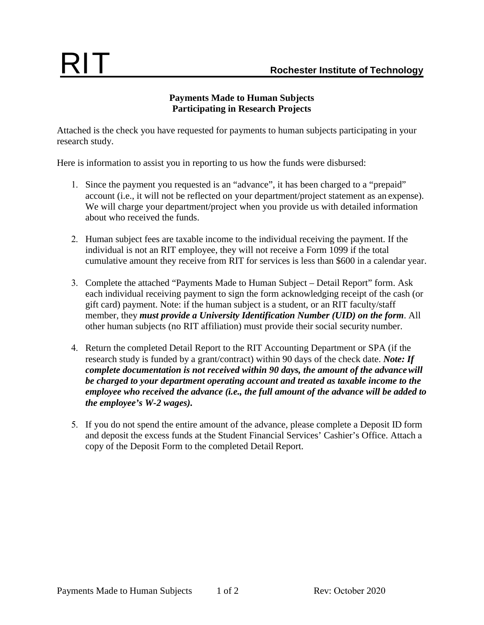## **Payments Made to Human Subjects Participating in Research Projects**

Attached is the check you have requested for payments to human subjects participating in your research study.

Here is information to assist you in reporting to us how the funds were disbursed:

- 1. Since the payment you requested is an "advance", it has been charged to a "prepaid" account (i.e., it will not be reflected on your department/project statement as an expense). We will charge your department/project when you provide us with detailed information about who received the funds.
- 2. Human subject fees are taxable income to the individual receiving the payment. If the individual is not an RIT employee, they will not receive a Form 1099 if the total cumulative amount they receive from RIT for services is less than \$600 in a calendar year.
- 3. Complete the attached "Payments Made to Human Subject Detail Report" form. Ask each individual receiving payment to sign the form acknowledging receipt of the cash (or gift card) payment. Note: if the human subject is a student, or an RIT faculty/staff member, they *must provide a University Identification Number (UID) on the form*. All other human subjects (no RIT affiliation) must provide their social security number.
- 4. Return the completed Detail Report to the RIT Accounting Department or SPA (if the research study is funded by a grant/contract) within 90 days of the check date. *Note: If complete documentation is not received within 90 days, the amount of the advance will be charged to your department operating account and treated as taxable income to the employee who received the advance (i.e., the full amount of the advance will be added to the employee's W-2 wages).*
- 5. If you do not spend the entire amount of the advance, please complete a Deposit ID form and deposit the excess funds at the Student Financial Services' Cashier's Office. Attach a copy of the Deposit Form to the completed Detail Report.